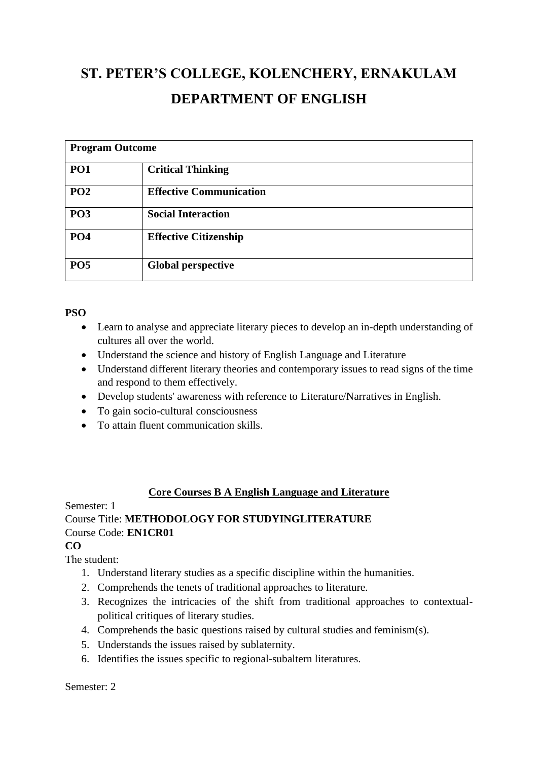# **ST. PETER'S COLLEGE, KOLENCHERY, ERNAKULAM DEPARTMENT OF ENGLISH**

| <b>Program Outcome</b> |                                |
|------------------------|--------------------------------|
| PO <sub>1</sub>        | <b>Critical Thinking</b>       |
| PO <sub>2</sub>        | <b>Effective Communication</b> |
| PO <sub>3</sub>        | <b>Social Interaction</b>      |
| <b>PO4</b>             | <b>Effective Citizenship</b>   |
| PO <sub>5</sub>        | <b>Global perspective</b>      |

#### **PSO**

- Learn to analyse and appreciate literary pieces to develop an in-depth understanding of cultures all over the world.
- Understand the science and history of English Language and Literature
- Understand different literary theories and contemporary issues to read signs of the time and respond to them effectively.
- Develop students' awareness with reference to Literature/Narratives in English.
- To gain socio-cultural consciousness
- To attain fluent communication skills.

## **Core Courses B A English Language and Literature**

# Semester: 1 Course Title: **METHODOLOGY FOR STUDYINGLITERATURE** Course Code: **EN1CR01**

## **CO**

The student:

- 1. Understand literary studies as a specific discipline within the humanities.
- 2. Comprehends the tenets of traditional approaches to literature.
- 3. Recognizes the intricacies of the shift from traditional approaches to contextualpolitical critiques of literary studies.
- 4. Comprehends the basic questions raised by cultural studies and feminism(s).
- 5. Understands the issues raised by sublaternity.
- 6. Identifies the issues specific to regional-subaltern literatures.

#### Semester: 2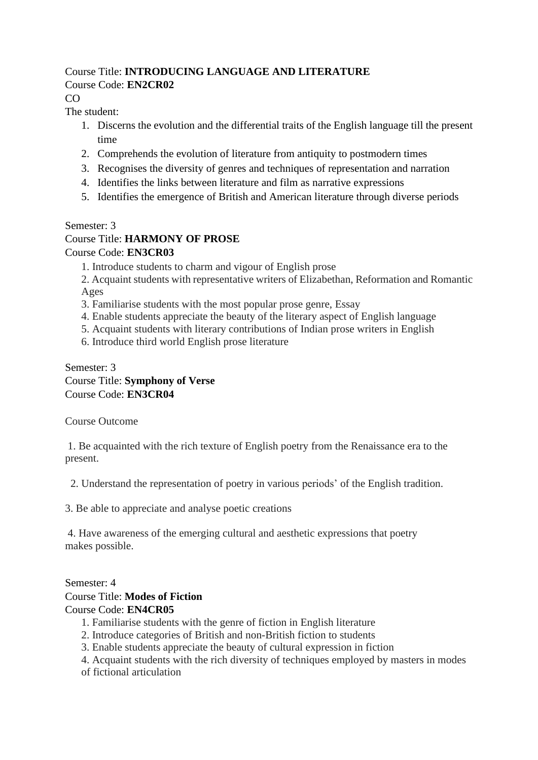#### Course Title: **INTRODUCING LANGUAGE AND LITERATURE** Course Code: **EN2CR02**

CO

The student:

- 1. Discerns the evolution and the differential traits of the English language till the present time
- 2. Comprehends the evolution of literature from antiquity to postmodern times
- 3. Recognises the diversity of genres and techniques of representation and narration
- 4. Identifies the links between literature and film as narrative expressions
- 5. Identifies the emergence of British and American literature through diverse periods

## Semester: 3

## Course Title: **HARMONY OF PROSE**

Course Code: **EN3CR03**

1. Introduce students to charm and vigour of English prose

2. Acquaint students with representative writers of Elizabethan, Reformation and Romantic Ages

- 3. Familiarise students with the most popular prose genre, Essay
- 4. Enable students appreciate the beauty of the literary aspect of English language
- 5. Acquaint students with literary contributions of Indian prose writers in English
- 6. Introduce third world English prose literature

#### Semester: 3 Course Title: **Symphony of Verse** Course Code: **EN3CR04**

Course Outcome

1. Be acquainted with the rich texture of English poetry from the Renaissance era to the present.

2. Understand the representation of poetry in various periods' of the English tradition.

3. Be able to appreciate and analyse poetic creations

4. Have awareness of the emerging cultural and aesthetic expressions that poetry makes possible.

## Semester: 4

## Course Title: **Modes of Fiction**

## Course Code: **EN4CR05**

- 1. Familiarise students with the genre of fiction in English literature
- 2. Introduce categories of British and non-British fiction to students
- 3. Enable students appreciate the beauty of cultural expression in fiction
- 4. Acquaint students with the rich diversity of techniques employed by masters in modes
- of fictional articulation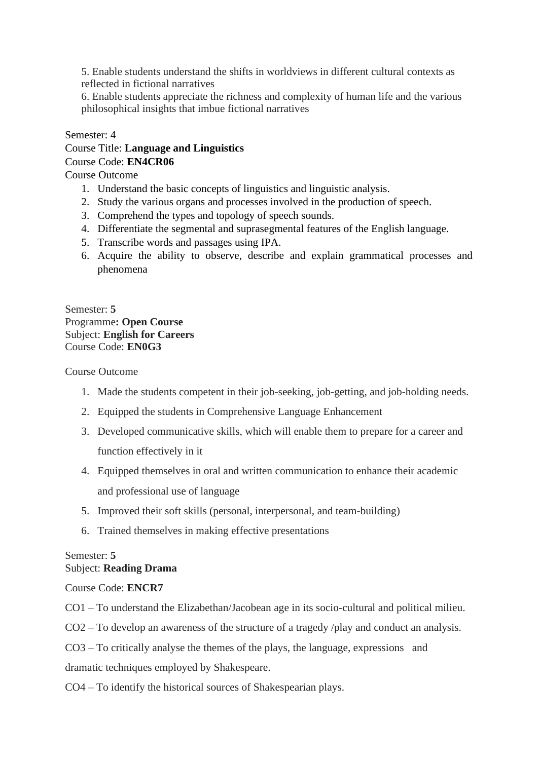5. Enable students understand the shifts in worldviews in different cultural contexts as reflected in fictional narratives

6. Enable students appreciate the richness and complexity of human life and the various philosophical insights that imbue fictional narratives

#### Semester: 4

#### Course Title: **Language and Linguistics** Course Code: **EN4CR06**

Course Outcome

- 1. Understand the basic concepts of linguistics and linguistic analysis.
- 2. Study the various organs and processes involved in the production of speech.
- 3. Comprehend the types and topology of speech sounds.
- 4. Differentiate the segmental and suprasegmental features of the English language.
- 5. Transcribe words and passages using IPA.
- 6. Acquire the ability to observe, describe and explain grammatical processes and phenomena

#### Semester: **5** Programme**: Open Course** Subject: **English for Careers** Course Code: **EN0G3**

Course Outcome

- 1. Made the students competent in their job-seeking, job-getting, and job-holding needs.
- 2. Equipped the students in Comprehensive Language Enhancement
- 3. Developed communicative skills, which will enable them to prepare for a career and function effectively in it
- 4. Equipped themselves in oral and written communication to enhance their academic and professional use of language
- 5. Improved their soft skills (personal, interpersonal, and team-building)
- 6. Trained themselves in making effective presentations

## Semester: **5** Subject: **Reading Drama**

Course Code: **ENCR7**

CO1 – To understand the Elizabethan/Jacobean age in its socio-cultural and political milieu.

CO2 – To develop an awareness of the structure of a tragedy /play and conduct an analysis.

CO3 – To critically analyse the themes of the plays, the language, expressions and

dramatic techniques employed by Shakespeare.

CO4 – To identify the historical sources of Shakespearian plays.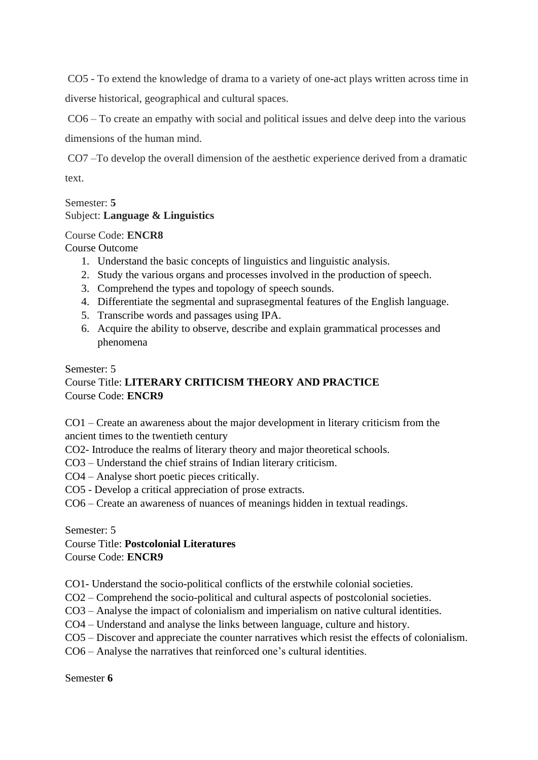CO5 - To extend the knowledge of drama to a variety of one-act plays written across time in diverse historical, geographical and cultural spaces.

CO6 – To create an empathy with social and political issues and delve deep into the various dimensions of the human mind.

CO7 –To develop the overall dimension of the aesthetic experience derived from a dramatic text.

## Semester: **5** Subject: **Language & Linguistics**

## Course Code: **ENCR8**

Course Outcome

- 1. Understand the basic concepts of linguistics and linguistic analysis.
- 2. Study the various organs and processes involved in the production of speech.
- 3. Comprehend the types and topology of speech sounds.
- 4. Differentiate the segmental and suprasegmental features of the English language.
- 5. Transcribe words and passages using IPA.
- 6. Acquire the ability to observe, describe and explain grammatical processes and phenomena

Semester: 5

## Course Title: **LITERARY CRITICISM THEORY AND PRACTICE** Course Code: **ENCR9**

CO1 – Create an awareness about the major development in literary criticism from the ancient times to the twentieth century

- CO2- Introduce the realms of literary theory and major theoretical schools.
- CO3 Understand the chief strains of Indian literary criticism.
- CO4 Analyse short poetic pieces critically.
- CO5 Develop a critical appreciation of prose extracts.
- CO6 Create an awareness of nuances of meanings hidden in textual readings.

Semester: 5

## Course Title: **Postcolonial Literatures**

Course Code: **ENCR9**

CO1- Understand the socio-political conflicts of the erstwhile colonial societies.

- CO2 Comprehend the socio-political and cultural aspects of postcolonial societies.
- CO3 Analyse the impact of colonialism and imperialism on native cultural identities.
- CO4 Understand and analyse the links between language, culture and history.
- CO5 Discover and appreciate the counter narratives which resist the effects of colonialism.
- CO6 Analyse the narratives that reinforced one's cultural identities.

Semester **6**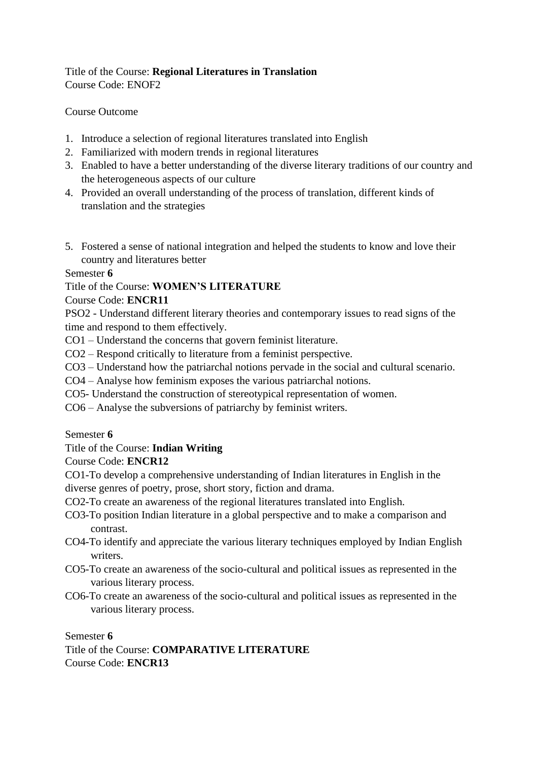## Title of the Course: **Regional Literatures in Translation** Course Code: ENOF2

#### Course Outcome

- 1. Introduce a selection of regional literatures translated into English
- 2. Familiarized with modern trends in regional literatures
- 3. Enabled to have a better understanding of the diverse literary traditions of our country and the heterogeneous aspects of our culture
- 4. Provided an overall understanding of the process of translation, different kinds of translation and the strategies
- 5. Fostered a sense of national integration and helped the students to know and love their country and literatures better

#### Semester **6**

## Title of the Course: **WOMEN'S LITERATURE**

#### Course Code: **ENCR11**

PSO2 - Understand different literary theories and contemporary issues to read signs of the time and respond to them effectively.

- CO1 Understand the concerns that govern feminist literature.
- CO2 Respond critically to literature from a feminist perspective.
- CO3 Understand how the patriarchal notions pervade in the social and cultural scenario.
- CO4 Analyse how feminism exposes the various patriarchal notions.
- CO5- Understand the construction of stereotypical representation of women.
- CO6 Analyse the subversions of patriarchy by feminist writers.

#### Semester **6**

## Title of the Course: **Indian Writing**

## Course Code: **ENCR12**

CO1-To develop a comprehensive understanding of Indian literatures in English in the diverse genres of poetry, prose, short story, fiction and drama.

- CO2-To create an awareness of the regional literatures translated into English.
- CO3-To position Indian literature in a global perspective and to make a comparison and contrast.
- CO4-To identify and appreciate the various literary techniques employed by Indian English writers.
- CO5-To create an awareness of the socio-cultural and political issues as represented in the various literary process.
- CO6-To create an awareness of the socio-cultural and political issues as represented in the various literary process.

Semester **6**

Title of the Course: **COMPARATIVE LITERATURE** Course Code: **ENCR13**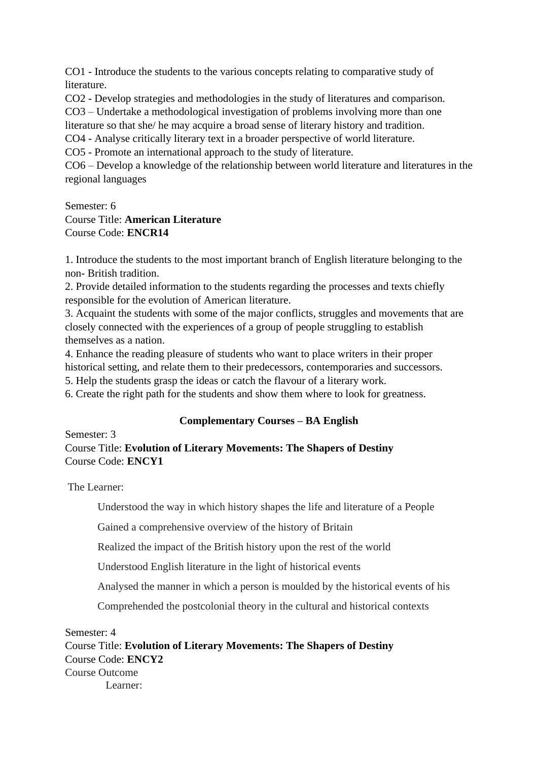CO1 - Introduce the students to the various concepts relating to comparative study of literature.

CO2 - Develop strategies and methodologies in the study of literatures and comparison. CO3 – Undertake a methodological investigation of problems involving more than one

literature so that she/ he may acquire a broad sense of literary history and tradition.

CO4 - Analyse critically literary text in a broader perspective of world literature.

CO5 - Promote an international approach to the study of literature.

CO6 – Develop a knowledge of the relationship between world literature and literatures in the regional languages

Semester: 6

## Course Title: **American Literature** Course Code: **ENCR14**

1. Introduce the students to the most important branch of English literature belonging to the non- British tradition.

2. Provide detailed information to the students regarding the processes and texts chiefly responsible for the evolution of American literature.

3. Acquaint the students with some of the major conflicts, struggles and movements that are closely connected with the experiences of a group of people struggling to establish themselves as a nation.

4. Enhance the reading pleasure of students who want to place writers in their proper historical setting, and relate them to their predecessors, contemporaries and successors.

5. Help the students grasp the ideas or catch the flavour of a literary work.

6. Create the right path for the students and show them where to look for greatness.

## **Complementary Courses – BA English**

Semester: 3 Course Title: **Evolution of Literary Movements: The Shapers of Destiny** Course Code: **ENCY1**

The Learner:

Understood the way in which history shapes the life and literature of a People

Gained a comprehensive overview of the history of Britain

Realized the impact of the British history upon the rest of the world

Understood English literature in the light of historical events

Analysed the manner in which a person is moulded by the historical events of his

Comprehended the postcolonial theory in the cultural and historical contexts

Semester: 4 Course Title: **Evolution of Literary Movements: The Shapers of Destiny** Course Code: **ENCY2** Course Outcome Learner: